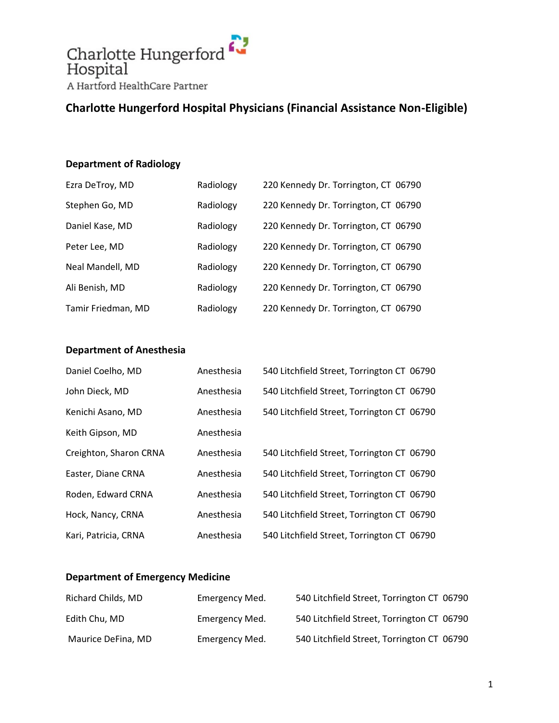

## **Charlotte Hungerford Hospital Physicians (Financial Assistance Non-Eligible)**

### **Department of Radiology**

| Ezra DeTroy, MD    | Radiology | 220 Kennedy Dr. Torrington, CT 06790 |  |
|--------------------|-----------|--------------------------------------|--|
| Stephen Go, MD     | Radiology | 220 Kennedy Dr. Torrington, CT 06790 |  |
| Daniel Kase, MD    | Radiology | 220 Kennedy Dr. Torrington, CT 06790 |  |
| Peter Lee, MD      | Radiology | 220 Kennedy Dr. Torrington, CT 06790 |  |
| Neal Mandell, MD   | Radiology | 220 Kennedy Dr. Torrington, CT 06790 |  |
| Ali Benish, MD     | Radiology | 220 Kennedy Dr. Torrington, CT 06790 |  |
| Tamir Friedman, MD | Radiology | 220 Kennedy Dr. Torrington, CT 06790 |  |

### **Department of Anesthesia**

| Daniel Coelho, MD      | Anesthesia | 540 Litchfield Street, Torrington CT 06790 |
|------------------------|------------|--------------------------------------------|
| John Dieck, MD         | Anesthesia | 540 Litchfield Street, Torrington CT 06790 |
| Kenichi Asano, MD      | Anesthesia | 540 Litchfield Street, Torrington CT 06790 |
| Keith Gipson, MD       | Anesthesia |                                            |
| Creighton, Sharon CRNA | Anesthesia | 540 Litchfield Street, Torrington CT 06790 |
| Easter, Diane CRNA     | Anesthesia | 540 Litchfield Street, Torrington CT 06790 |
| Roden, Edward CRNA     | Anesthesia | 540 Litchfield Street, Torrington CT 06790 |
| Hock, Nancy, CRNA      | Anesthesia | 540 Litchfield Street, Torrington CT 06790 |
| Kari, Patricia, CRNA   | Anesthesia | 540 Litchfield Street, Torrington CT 06790 |

#### **Department of Emergency Medicine**

| Richard Childs, MD | Emergency Med. | 540 Litchfield Street, Torrington CT 06790 |  |
|--------------------|----------------|--------------------------------------------|--|
| Edith Chu, MD      | Emergency Med. | 540 Litchfield Street, Torrington CT 06790 |  |
| Maurice DeFina, MD | Emergency Med. | 540 Litchfield Street, Torrington CT 06790 |  |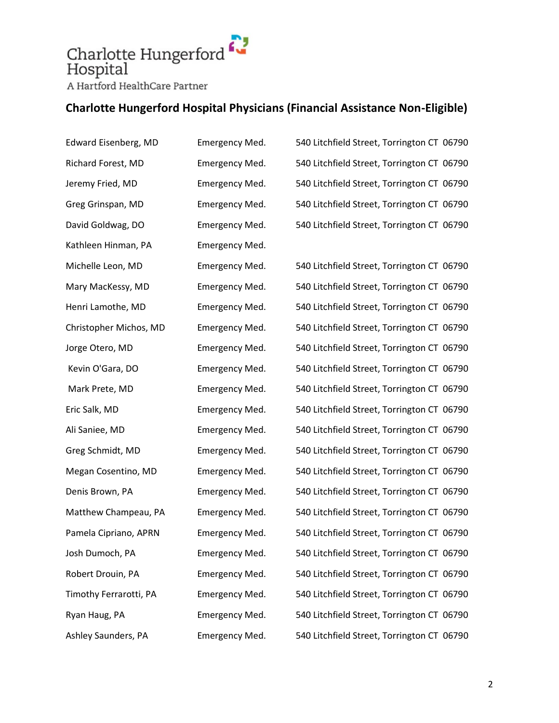# Charlotte Hungerford Hospital A Hartford HealthCare Partner

## **Charlotte Hungerford Hospital Physicians (Financial Assistance Non-Eligible)**

Edward Eisenberg, MD Emergency Med. 540 Litchfield Street, Torrington CT 06790 Richard Forest, MD Emergency Med. 540 Litchfield Street, Torrington CT 06790 Jeremy Fried, MD Emergency Med. 540 Litchfield Street, Torrington CT 06790 Greg Grinspan, MD Emergency Med. 540 Litchfield Street, Torrington CT 06790 David Goldwag, DO Emergency Med. 540 Litchfield Street, Torrington CT 06790 Kathleen Hinman, PA Emergency Med. Michelle Leon, MD Emergency Med. 540 Litchfield Street, Torrington CT 06790 Mary MacKessy, MD Emergency Med. 540 Litchfield Street, Torrington CT 06790 Henri Lamothe, MD Emergency Med. 540 Litchfield Street, Torrington CT 06790 Christopher Michos, MD Emergency Med. 540 Litchfield Street, Torrington CT 06790 Jorge Otero, MD Emergency Med. 540 Litchfield Street, Torrington CT 06790 Kevin O'Gara, DO **Emergency Med.** 540 Litchfield Street, Torrington CT 06790 Mark Prete, MD Emergency Med. 540 Litchfield Street, Torrington CT 06790 Eric Salk, MD Emergency Med. 540 Litchfield Street, Torrington CT 06790 Ali Saniee, MD Emergency Med. 540 Litchfield Street, Torrington CT 06790 Greg Schmidt, MD Emergency Med. 540 Litchfield Street, Torrington CT 06790 Megan Cosentino, MD Emergency Med. 540 Litchfield Street, Torrington CT 06790 Denis Brown, PA Emergency Med. 540 Litchfield Street, Torrington CT 06790 Matthew Champeau, PA Emergency Med. 540 Litchfield Street, Torrington CT 06790 Pamela Cipriano, APRN Emergency Med. 540 Litchfield Street, Torrington CT 06790 Josh Dumoch, PA Emergency Med. 540 Litchfield Street, Torrington CT 06790 Robert Drouin, PA Emergency Med. 540 Litchfield Street, Torrington CT 06790 Timothy Ferrarotti, PA Emergency Med. 540 Litchfield Street, Torrington CT 06790 Ryan Haug, PA Emergency Med. 540 Litchfield Street, Torrington CT 06790 Ashley Saunders, PA Emergency Med. 540 Litchfield Street, Torrington CT 06790